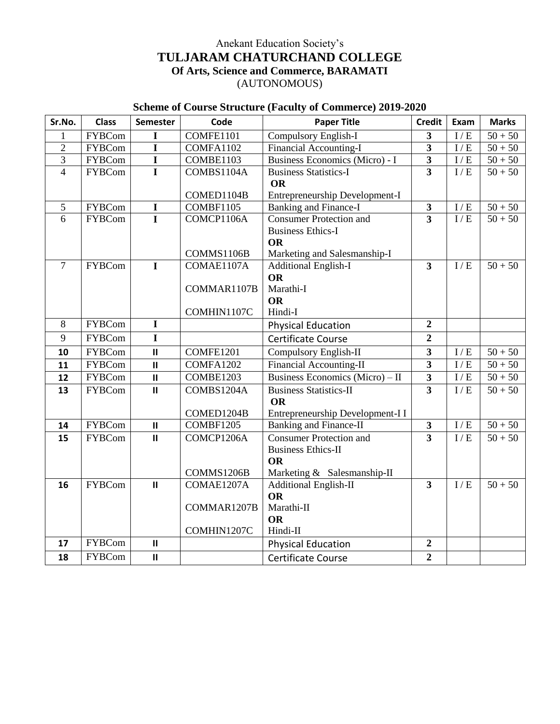#### Anekant Education Society"s **TULJARAM CHATURCHAND COLLEGE Of Arts, Science and Commerce, BARAMATI** (AUTONOMOUS)

#### **Scheme of Course Structure (Faculty of Commerce) 2019-2020**

| Sr.No.         | <b>Class</b>  | <b>Semester</b>         | Code        | <b>Paper Title</b>               | <b>Credit</b>           | Exam              | <b>Marks</b> |
|----------------|---------------|-------------------------|-------------|----------------------------------|-------------------------|-------------------|--------------|
|                | <b>FYBCom</b> | $\mathbf I$             | COMFE1101   | Compulsory English-I             | $\overline{\mathbf{3}}$ | I/E               | $50 + 50$    |
| $\overline{2}$ | <b>FYBCom</b> | $\overline{\mathbf{I}}$ | COMFA1102   | Financial Accounting-I           | $\overline{\mathbf{3}}$ | I/E               | $50 + 50$    |
| $\overline{3}$ | <b>FYBCom</b> | $\overline{I}$          | COMBE1103   | Business Economics (Micro) - I   | $\overline{\mathbf{3}}$ | $\rm I$ / $\rm E$ | $50 + 50$    |
| $\overline{4}$ | <b>FYBCom</b> | $\overline{I}$          | COMBS1104A  | <b>Business Statistics-I</b>     | $\overline{3}$          | I/E               | $50 + 50$    |
|                |               |                         |             | <b>OR</b>                        |                         |                   |              |
|                |               |                         | COMED1104B  | Entrepreneurship Development-I   |                         |                   |              |
| $\mathfrak{S}$ | <b>FYBCom</b> | $\mathbf I$             | COMBF1105   | <b>Banking and Finance-I</b>     | $\mathbf{3}$            | $\rm I$ / $\rm E$ | $50 + 50$    |
| 6              | <b>FYBCom</b> | $\overline{I}$          | COMCP1106A  | <b>Consumer Protection and</b>   | $\overline{3}$          | I/E               | $50 + 50$    |
|                |               |                         |             | <b>Business Ethics-I</b>         |                         |                   |              |
|                |               |                         |             | <b>OR</b>                        |                         |                   |              |
|                |               |                         | COMMS1106B  | Marketing and Salesmanship-I     |                         |                   |              |
| $\overline{7}$ | <b>FYBCom</b> | $\mathbf I$             | COMAE1107A  | <b>Additional English-I</b>      | $\overline{3}$          | I/E               | $50 + 50$    |
|                |               |                         | COMMAR1107B | <b>OR</b><br>Marathi-I           |                         |                   |              |
|                |               |                         |             | <b>OR</b>                        |                         |                   |              |
|                |               |                         | COMHIN1107C | Hindi-I                          |                         |                   |              |
| 8              | <b>FYBCom</b> | $\mathbf I$             |             | <b>Physical Education</b>        | $\overline{2}$          |                   |              |
| 9              | <b>FYBCom</b> | $\mathbf I$             |             | <b>Certificate Course</b>        | $\overline{2}$          |                   |              |
| 10             | <b>FYBCom</b> | $\mathbf{I}$            | COMFE1201   | Compulsory English-II            | $\overline{\mathbf{3}}$ | I/E               | $50 + 50$    |
| 11             | <b>FYBCom</b> | $\mathbf{I}$            | COMFA1202   | <b>Financial Accounting-II</b>   | $\overline{\mathbf{3}}$ | I/E               | $50 + 50$    |
| 12             | <b>FYBCom</b> | $\mathbf{I}$            | COMBE1203   | Business Economics (Micro) - II  | $\overline{\mathbf{3}}$ | $I/E$             | $50 + 50$    |
| 13             | <b>FYBCom</b> |                         | COMBS1204A  | <b>Business Statistics-II</b>    | $\overline{3}$          | I/E               | $50 + 50$    |
|                |               | $\mathbf{I}$            |             | <b>OR</b>                        |                         |                   |              |
|                |               |                         | COMED1204B  | Entrepreneurship Development-I I |                         |                   |              |
| 14             | <b>FYBCom</b> | $\mathbf{II}$           | COMBF1205   | <b>Banking and Finance-II</b>    | $\mathbf{3}$            | I/E               | $50 + 50$    |
| 15             | <b>FYBCom</b> | $\mathbf{I}$            | COMCP1206A  | <b>Consumer Protection and</b>   | $\overline{3}$          | I/E               | $50 + 50$    |
|                |               |                         |             | <b>Business Ethics-II</b>        |                         |                   |              |
|                |               |                         |             | <b>OR</b>                        |                         |                   |              |
|                |               |                         | COMMS1206B  | Marketing & Salesmanship-II      |                         |                   |              |
| 16             | <b>FYBCom</b> | $\mathbf{II}$           | COMAE1207A  | <b>Additional English-II</b>     | $\overline{\mathbf{3}}$ | I/E               | $50 + 50$    |
|                |               |                         |             | <b>OR</b>                        |                         |                   |              |
|                |               |                         | COMMAR1207B | Marathi-II                       |                         |                   |              |
|                |               |                         |             | <b>OR</b>                        |                         |                   |              |
|                |               |                         | COMHIN1207C | Hindi-II                         |                         |                   |              |
| 17             | <b>FYBCom</b> | $\mathbf{II}$           |             | <b>Physical Education</b>        | $\overline{2}$          |                   |              |
| 18             | <b>FYBCom</b> | $\mathbf{II}$           |             | <b>Certificate Course</b>        | $\overline{2}$          |                   |              |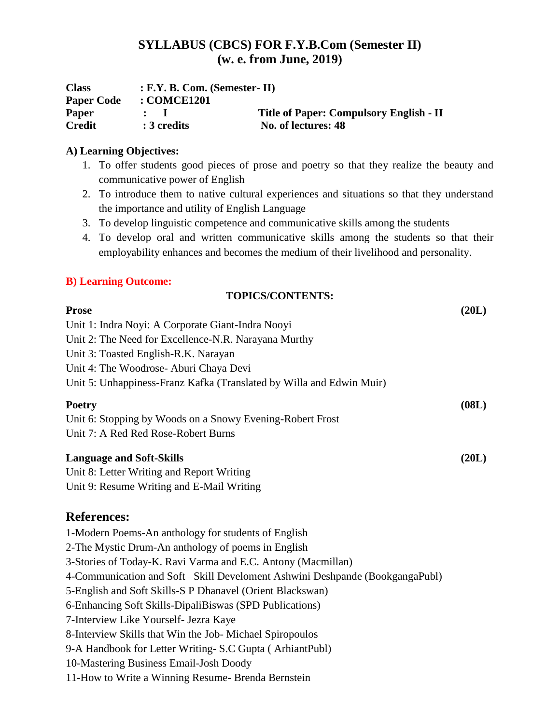#### **SYLLABUS (CBCS) FOR F.Y.B.Com (Semester II) (w. e. from June, 2019)**

| <b>Class</b>      | $: F.Y. B. Com. (Semester-II)$        |                                                |  |
|-------------------|---------------------------------------|------------------------------------------------|--|
| <b>Paper Code</b> | $\cdot$ : COMCE1201                   |                                                |  |
| <b>Paper</b>      | $\mathbf{r}$ . The state $\mathbf{r}$ | <b>Title of Paper: Compulsory English - II</b> |  |
| <b>Credit</b>     | : 3 credits                           | No. of lectures: 48                            |  |

#### **A) Learning Objectives:**

- 1. To offer students good pieces of prose and poetry so that they realize the beauty and communicative power of English
- 2. To introduce them to native cultural experiences and situations so that they understand the importance and utility of English Language
- 3. To develop linguistic competence and communicative skills among the students
- 4. To develop oral and written communicative skills among the students so that their employability enhances and becomes the medium of their livelihood and personality.

#### **B) Learning Outcome:**

| <b>TOPICS/CONTENTS:</b>                                              |       |
|----------------------------------------------------------------------|-------|
| <b>Prose</b>                                                         | (20L) |
| Unit 1: Indra Noyi: A Corporate Giant-Indra Nooyi                    |       |
| Unit 2: The Need for Excellence-N.R. Narayana Murthy                 |       |
| Unit 3: Toasted English-R.K. Narayan                                 |       |
| Unit 4: The Woodrose-Aburi Chaya Devi                                |       |
| Unit 5: Unhappiness-Franz Kafka (Translated by Willa and Edwin Muir) |       |
| <b>Poetry</b>                                                        | (08L) |
| Unit 6: Stopping by Woods on a Snowy Evening-Robert Frost            |       |
| Unit 7: A Red Red Rose-Robert Burns                                  |       |
| <b>Language and Soft-Skills</b>                                      | (20L) |
| Unit 8: Letter Writing and Report Writing                            |       |
|                                                                      |       |

Unit 9: Resume Writing and E-Mail Writing

#### **References:**

1-Modern Poems-An anthology for students of English 2-The Mystic Drum-An anthology of poems in English 3-Stories of Today-K. Ravi Varma and E.C. Antony (Macmillan) 4-Communication and Soft –Skill Develoment Ashwini Deshpande (BookgangaPubl) 5-English and Soft Skills-S P Dhanavel (Orient Blackswan) 6-Enhancing Soft Skills-DipaliBiswas (SPD Publications) 7-Interview Like Yourself- Jezra Kaye 8-Interview Skills that Win the Job- Michael Spiropoulos 9-A Handbook for Letter Writing- S.C Gupta ( ArhiantPubl) 10-Mastering Business Email-Josh Doody 11-How to Write a Winning Resume- Brenda Bernstein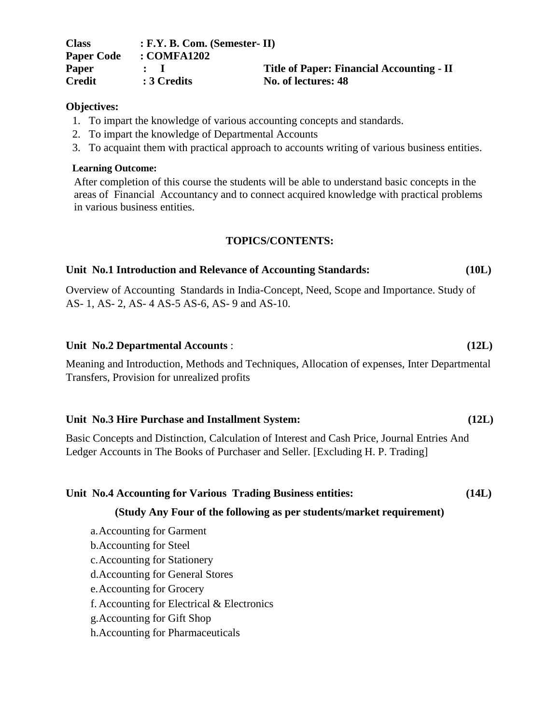| <b>Class</b>      | $: F.Y. B. Com. (Semester-II)$ |                                                  |  |
|-------------------|--------------------------------|--------------------------------------------------|--|
| <b>Paper Code</b> | $\therefore$ COMFA1202         |                                                  |  |
| <b>Paper</b>      | $\mathbf{1}$                   | <b>Title of Paper: Financial Accounting - II</b> |  |
| <b>Credit</b>     | : 3 Credits                    | No. of lectures: 48                              |  |

#### **Objectives:**

- 1. To impart the knowledge of various accounting concepts and standards.
- 2. To impart the knowledge of Departmental Accounts
- 3. To acquaint them with practical approach to accounts writing of various business entities.

#### **Learning Outcome:**

After completion of this course the students will be able to understand basic concepts in the areas of Financial Accountancy and to connect acquired knowledge with practical problems in various business entities.

#### **TOPICS/CONTENTS:**

#### **Unit No.1 Introduction and Relevance of Accounting Standards: (10L)**

Overview of Accounting Standards in India-Concept, Need, Scope and Importance. Study of AS- 1, AS- 2, AS- 4 AS-5 AS-6, AS- 9 and AS-10.

#### **Unit No.2 Departmental Accounts** : **(12L)**

Meaning and Introduction, Methods and Techniques, Allocation of expenses, Inter Departmental Transfers, Provision for unrealized profits

#### **Unit No.3 Hire Purchase and Installment System: (12L)**

Basic Concepts and Distinction, Calculation of Interest and Cash Price, Journal Entries And Ledger Accounts in The Books of Purchaser and Seller. [Excluding H. P. Trading]

#### **Unit No.4 Accounting for Various Trading Business entities: (14L)**

#### **(Study Any Four of the following as per students/market requirement)**

- a.Accounting for Garment
- b.Accounting for Steel
- c.Accounting for Stationery
- d.Accounting for General Stores
- e.Accounting for Grocery
- f. Accounting for Electrical & Electronics
- g.Accounting for Gift Shop
- h.Accounting for Pharmaceuticals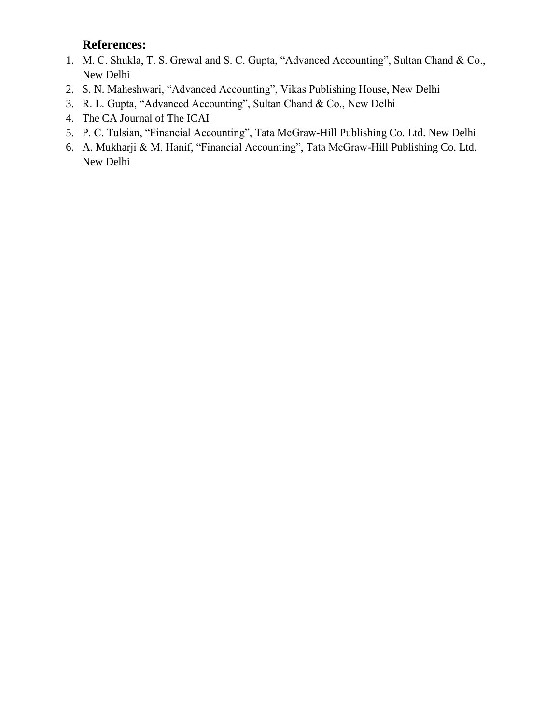- 1. M. C. Shukla, T. S. Grewal and S. C. Gupta, "Advanced Accounting", Sultan Chand & Co., New Delhi
- 2. S. N. Maheshwari, "Advanced Accounting", Vikas Publishing House, New Delhi
- 3. R. L. Gupta, "Advanced Accounting", Sultan Chand & Co., New Delhi
- 4. The CA Journal of The ICAI
- 5. P. C. Tulsian, "Financial Accounting", Tata McGraw-Hill Publishing Co. Ltd. New Delhi
- 6. A. Mukharji & M. Hanif, "Financial Accounting", Tata McGraw-Hill Publishing Co. Ltd. New Delhi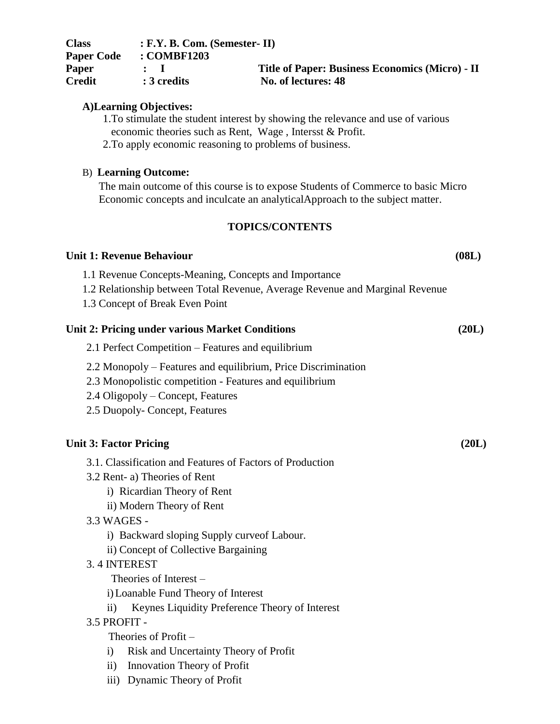| <b>Class</b>      | $: F.Y. B. Com. (Semester-II)$ |                                                        |
|-------------------|--------------------------------|--------------------------------------------------------|
| <b>Paper Code</b> | : COMBF1203                    |                                                        |
| <b>Paper</b>      |                                | <b>Title of Paper: Business Economics (Micro) - II</b> |
| <b>Credit</b>     | $: 3$ credits                  | No. of lectures: 48                                    |

#### **A)Learning Objectives:**

- 1.To stimulate the student interest by showing the relevance and use of various economic theories such as Rent, Wage , Intersst & Profit.
- 2.To apply economic reasoning to problems of business.

#### B) **Learning Outcome:**

The main outcome of this course is to expose Students of Commerce to basic Micro Economic concepts and inculcate an analyticalApproach to the subject matter.

#### **TOPICS/CONTENTS**

#### Unit 1: Revenue Behaviour (08L)

1.1 Revenue Concepts-Meaning, Concepts and Importance

- 1.2 Relationship between Total Revenue, Average Revenue and Marginal Revenue
- 1.3 Concept of Break Even Point

## **Unit 2: Pricing under various Market Conditions (20L)**

- 2.1 Perfect Competition Features and equilibrium
- 2.2 Monopoly Features and equilibrium, Price Discrimination
- 2.3 Monopolistic competition Features and equilibrium
- 2.4 Oligopoly Concept, Features
- 2.5 Duopoly- Concept, Features

#### Unit 3: Factor Pricing (20L)

- 3.1. Classification and Features of Factors of Production
- 3.2 Rent- a) Theories of Rent
	- i) Ricardian Theory of Rent
	- ii) Modern Theory of Rent
- 3.3 WAGES
	- i) Backward sloping Supply curveof Labour.
	- ii) Concept of Collective Bargaining

#### 3. 4 INTEREST

Theories of Interest –

- i)Loanable Fund Theory of Interest
- ii) Keynes Liquidity Preference Theory of Interest

#### 3.5 PROFIT -

Theories of Profit –

- i) Risk and Uncertainty Theory of Profit
- ii) Innovation Theory of Profit
- iii) Dynamic Theory of Profit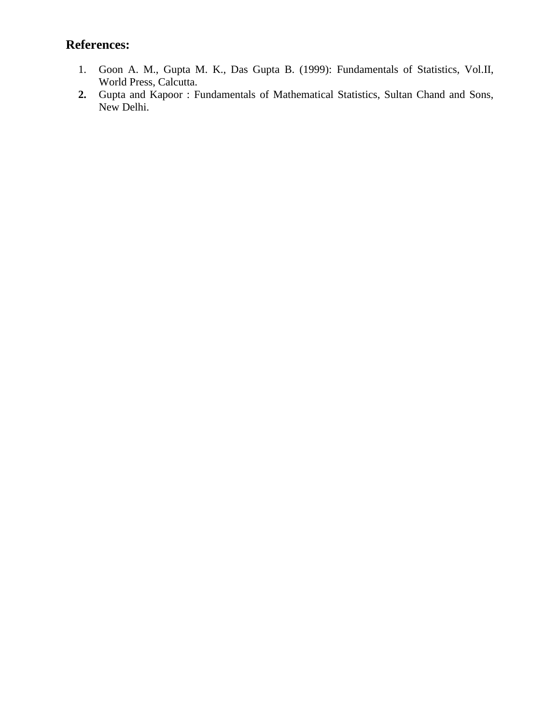- 1. Goon A. M., Gupta M. K., Das Gupta B. (1999): Fundamentals of Statistics, Vol.II, World Press, Calcutta.
- **2.** Gupta and Kapoor : Fundamentals of Mathematical Statistics, Sultan Chand and Sons, New Delhi.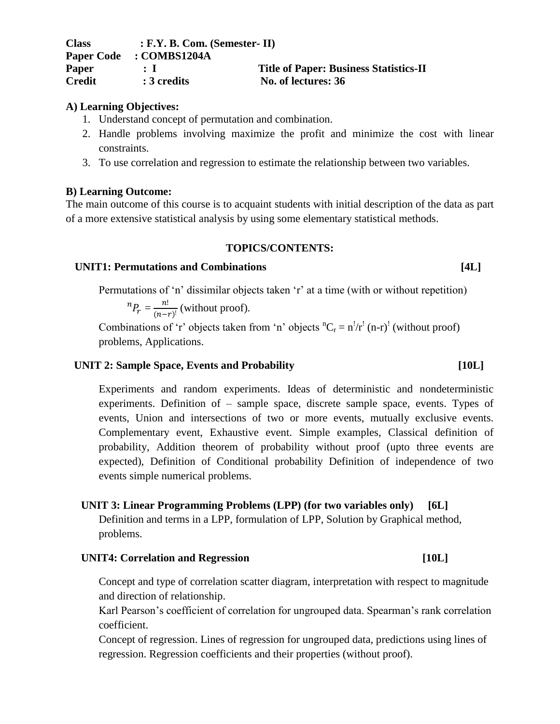#### **A) Learning Objectives:**

- 1. Understand concept of permutation and combination.
- 2. Handle problems involving maximize the profit and minimize the cost with linear constraints.
- 3. To use correlation and regression to estimate the relationship between two variables.

#### **B) Learning Outcome:**

The main outcome of this course is to acquaint students with initial description of the data as part of a more extensive statistical analysis by using some elementary statistical methods.

#### **TOPICS/CONTENTS:**

#### UNIT1: Permutations and Combinations [4L]

Permutations of 'n' dissimilar objects taken 'r' at a time (with or without repetition)

 $n P_r = \frac{n}{r}$  $\frac{n!}{(n-r)!}$  (without proof).

Combinations of 'r' objects taken from 'n' objects  ${}^{n}C_{r} = n'/r'$  (n-r)' (without proof) problems, Applications.

#### UNIT 2: Sample Space, Events and Probability [10L]

Experiments and random experiments. Ideas of deterministic and nondeterministic experiments. Definition of – sample space, discrete sample space, events. Types of events, Union and intersections of two or more events, mutually exclusive events. Complementary event, Exhaustive event. Simple examples, Classical definition of probability, Addition theorem of probability without proof (upto three events are expected), Definition of Conditional probability Definition of independence of two events simple numerical problems.

#### **UNIT 3: Linear Programming Problems (LPP) (for two variables only) [6L]**

Definition and terms in a LPP, formulation of LPP, Solution by Graphical method, problems.

#### UNIT4: Correlation and Regression [10L]

Concept and type of correlation scatter diagram, interpretation with respect to magnitude and direction of relationship.

Karl Pearson"s coefficient of correlation for ungrouped data. Spearman"s rank correlation coefficient.

Concept of regression. Lines of regression for ungrouped data, predictions using lines of regression. Regression coefficients and their properties (without proof).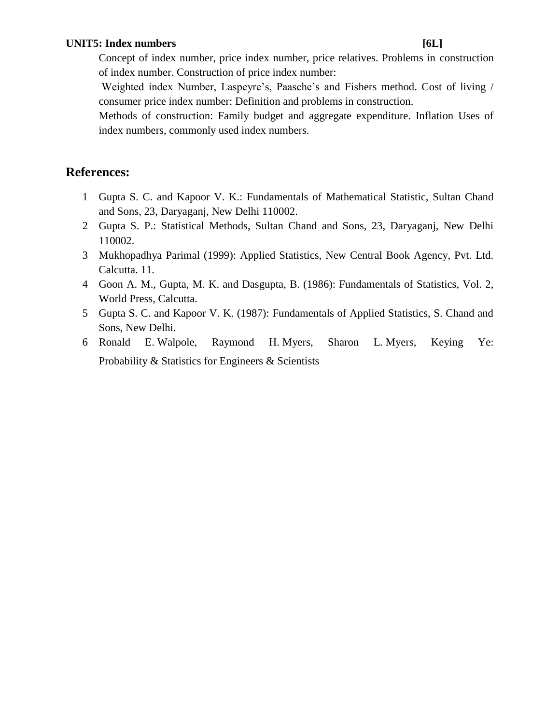#### UNIT5: Index numbers [6L]

Concept of index number, price index number, price relatives. Problems in construction of index number. Construction of price index number:

Weighted index Number, Laspeyre's, Paasche's and Fishers method. Cost of living / consumer price index number: Definition and problems in construction.

Methods of construction: Family budget and aggregate expenditure. Inflation Uses of index numbers, commonly used index numbers.

- 1 Gupta S. C. and Kapoor V. K.: Fundamentals of Mathematical Statistic, Sultan Chand and Sons, 23, Daryaganj, New Delhi 110002.
- 2 Gupta S. P.: Statistical Methods, Sultan Chand and Sons, 23, Daryaganj, New Delhi 110002.
- 3 Mukhopadhya Parimal (1999): Applied Statistics, New Central Book Agency, Pvt. Ltd. Calcutta. 11.
- 4 Goon A. M., Gupta, M. K. and Dasgupta, B. (1986): Fundamentals of Statistics, Vol. 2, World Press, Calcutta.
- 5 Gupta S. C. and Kapoor V. K. (1987): Fundamentals of Applied Statistics, S. Chand and Sons, New Delhi.
- 6 Ronald E. Walpole, Raymond H. Myers, Sharon L. Myers, Keying Ye: Probability & Statistics for Engineers & Scientists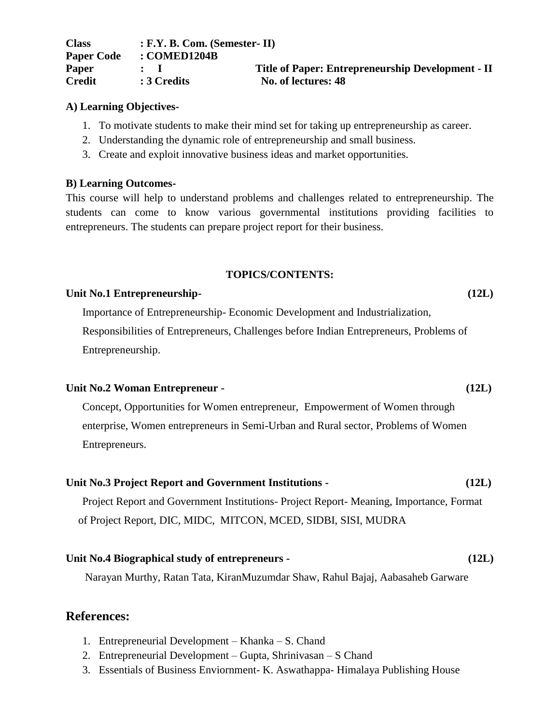| <b>Class</b>      | $: F.Y. B. Com. (Semester-II)$ |                                                   |
|-------------------|--------------------------------|---------------------------------------------------|
| <b>Paper Code</b> | : COMED1204B                   |                                                   |
| <b>Paper</b>      |                                | Title of Paper: Entrepreneurship Development - II |
| <b>Credit</b>     | : 3 Credits                    | No. of lectures: 48                               |

#### **A) Learning Objectives-**

- 1. To motivate students to make their mind set for taking up entrepreneurship as career.
- 2. Understanding the dynamic role of entrepreneurship and small business.
- 3. Create and exploit innovative business ideas and market opportunities.

#### **B) Learning Outcomes-**

This course will help to understand problems and challenges related to entrepreneurship. The students can come to know various governmental institutions providing facilities to entrepreneurs. The students can prepare project report for their business.

#### **TOPICS/CONTENTS:**

#### **Unit No.1 Entrepreneurship- (12L)**

Importance of Entrepreneurship- Economic Development and Industrialization,

Responsibilities of Entrepreneurs, Challenges before Indian Entrepreneurs, Problems of Entrepreneurship.

#### **Unit No.2 Woman Entrepreneur - (12L)**

Concept, Opportunities for Women entrepreneur, Empowerment of Women through enterprise, Women entrepreneurs in Semi-Urban and Rural sector, Problems of Women Entrepreneurs.

#### **Unit No.3 Project Report and Government Institutions - (12L)**

Project Report and Government Institutions- Project Report- Meaning, Importance, Format of Project Report, DIC, MIDC, MITCON, MCED, SIDBI, SISI, MUDRA

#### **Unit No.4 Biographical study of entrepreneurs - (12L)**

Narayan Murthy, Ratan Tata, KiranMuzumdar Shaw, Rahul Bajaj, Aabasaheb Garware

- 1. Entrepreneurial Development Khanka S. Chand
- 2. Entrepreneurial Development Gupta, Shrinivasan S Chand
- 3. Essentials of Business Enviornment- K. Aswathappa- Himalaya Publishing House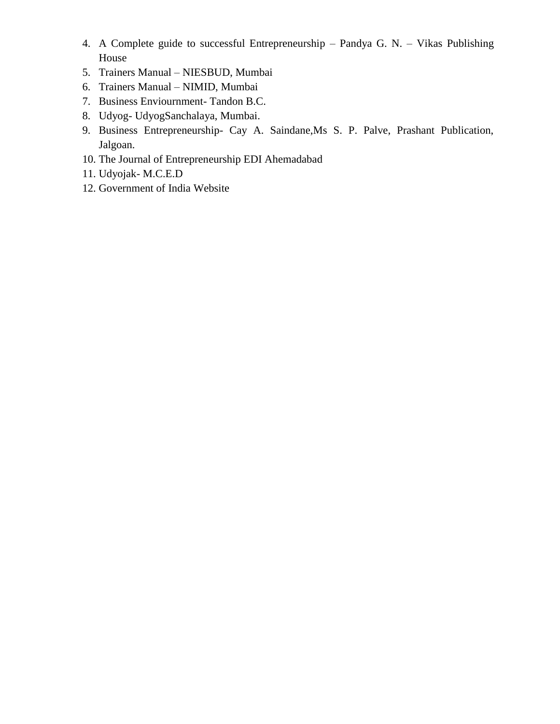- 4. A Complete guide to successful Entrepreneurship Pandya G. N. Vikas Publishing House
- 5. Trainers Manual NIESBUD, Mumbai
- 6. Trainers Manual NIMID, Mumbai
- 7. Business Enviournment- Tandon B.C.
- 8. Udyog- UdyogSanchalaya, Mumbai.
- 9. Business Entrepreneurship- Cay A. Saindane,Ms S. P. Palve, Prashant Publication, Jalgoan.
- 10. The Journal of Entrepreneurship EDI Ahemadabad
- 11. Udyojak- M.C.E.D
- 12. Government of India Website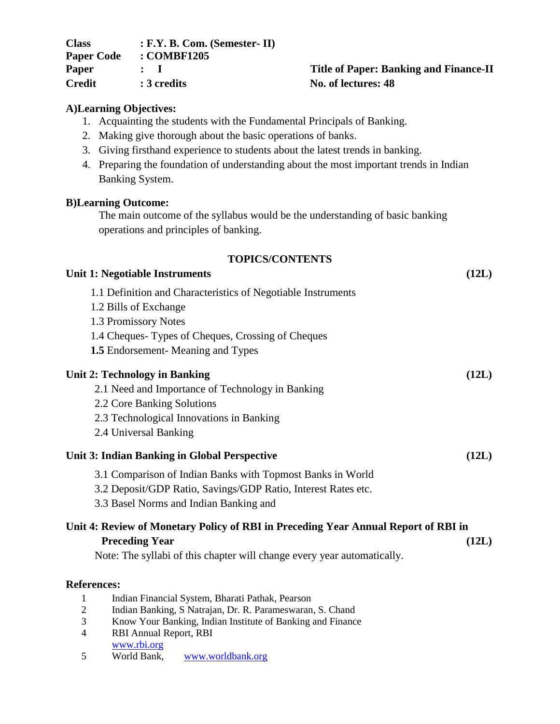| <b>Class</b>      | $: F.Y. B. Com. (Semester-II)$ |                            |
|-------------------|--------------------------------|----------------------------|
| <b>Paper Code</b> | : COMBF1205                    |                            |
| Paper             | $\mathbf{r}$                   | <b>Title of Paper: Bar</b> |
| Credit            | : 3 credits                    | No. of lectures: 48        |

## **Title of Paper: Banking and Finance-II**

#### **A)Learning Objectives:**

- 1. Acquainting the students with the Fundamental Principals of Banking.
- 2. Making give thorough about the basic operations of banks.
- 3. Giving firsthand experience to students about the latest trends in banking.
- 4. Preparing the foundation of understanding about the most important trends in Indian Banking System.

#### **B)Learning Outcome:**

The main outcome of the syllabus would be the understanding of basic banking operations and principles of banking.

#### **TOPICS/CONTENTS**

| Unit 1: Negotiable Instruments                                                     | (12L) |
|------------------------------------------------------------------------------------|-------|
| 1.1 Definition and Characteristics of Negotiable Instruments                       |       |
| 1.2 Bills of Exchange                                                              |       |
| 1.3 Promissory Notes                                                               |       |
| 1.4 Cheques Types of Cheques, Crossing of Cheques                                  |       |
| <b>1.5</b> Endorsement-Meaning and Types                                           |       |
| <b>Unit 2: Technology in Banking</b>                                               | (12L) |
| 2.1 Need and Importance of Technology in Banking                                   |       |
| 2.2 Core Banking Solutions                                                         |       |
| 2.3 Technological Innovations in Banking                                           |       |
| 2.4 Universal Banking                                                              |       |
| Unit 3: Indian Banking in Global Perspective                                       | (12L) |
| 3.1 Comparison of Indian Banks with Topmost Banks in World                         |       |
| 3.2 Deposit/GDP Ratio, Savings/GDP Ratio, Interest Rates etc.                      |       |
| 3.3 Basel Norms and Indian Banking and                                             |       |
| Unit 4: Review of Monetary Policy of RBI in Preceding Year Annual Report of RBI in |       |
| <b>Preceding Year</b>                                                              | (12L) |
| Note: The syllabi of this chapter will change every year automatically.            |       |

- 1 Indian Financial System, Bharati Pathak, Pearson<br>2 Indian Banking, S Natraian, Dr. R. Parameswaran
- 2 Indian Banking, S Natrajan, Dr. R. Parameswaran, S. Chand
- 3 Know Your Banking, Indian Institute of Banking and Finance
- 4 RBI Annual Report, RBI [www.rbi.org](http://www.rbi.org/)
- 5 World Bank, [www.worldbank.org](http://www.worldbank.org/)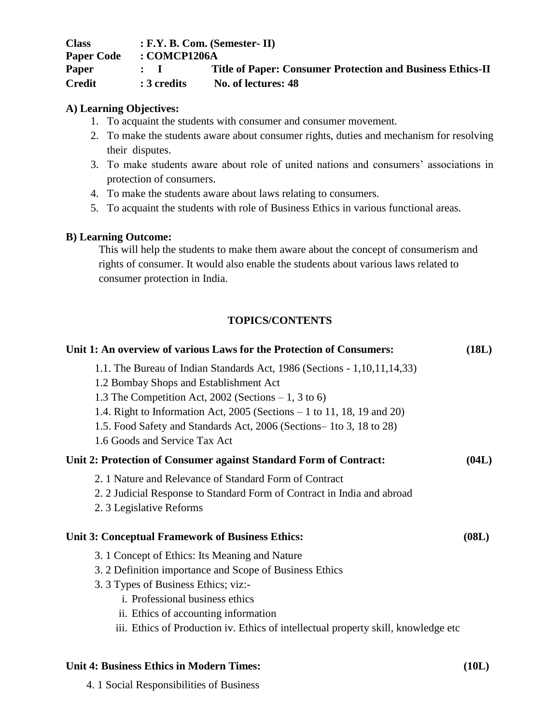| <b>Class</b>      |               | $: F.Y. B. Com. (Semester-II)$                                    |
|-------------------|---------------|-------------------------------------------------------------------|
| <b>Paper Code</b> | : COMCP1206A  |                                                                   |
| Paper             | $\mathbf{L}$  | <b>Title of Paper: Consumer Protection and Business Ethics-II</b> |
| <b>Credit</b>     | $: 3$ credits | No. of lectures: 48                                               |

#### **A) Learning Objectives:**

- 1. To acquaint the students with consumer and consumer movement.
- 2. To make the students aware about consumer rights, duties and mechanism for resolving their disputes.
- 3. To make students aware about role of united nations and consumers" associations in protection of consumers.
- 4. To make the students aware about laws relating to consumers.
- 5. To acquaint the students with role of Business Ethics in various functional areas.

#### **B) Learning Outcome:**

This will help the students to make them aware about the concept of consumerism and rights of consumer. It would also enable the students about various laws related to consumer protection in India.

#### **TOPICS/CONTENTS**

| Unit 1: An overview of various Laws for the Protection of Consumers:                                                                                                                                                                                                                                                                                               | (18L) |
|--------------------------------------------------------------------------------------------------------------------------------------------------------------------------------------------------------------------------------------------------------------------------------------------------------------------------------------------------------------------|-------|
| 1.1. The Bureau of Indian Standards Act, 1986 (Sections - 1,10,11,14,33)<br>1.2 Bombay Shops and Establishment Act<br>1.3 The Competition Act, 2002 (Sections $-1$ , 3 to 6)<br>1.4. Right to Information Act, $2005$ (Sections $-1$ to 11, 18, 19 and 20)<br>1.5. Food Safety and Standards Act, 2006 (Sections–1to 3, 18 to 28)<br>1.6 Goods and Service Tax Act |       |
| Unit 2: Protection of Consumer against Standard Form of Contract:                                                                                                                                                                                                                                                                                                  | (04L) |
| 2. 1 Nature and Relevance of Standard Form of Contract<br>2. 2 Judicial Response to Standard Form of Contract in India and abroad<br>2. 3 Legislative Reforms                                                                                                                                                                                                      |       |
| <b>Unit 3: Conceptual Framework of Business Ethics:</b>                                                                                                                                                                                                                                                                                                            | (08L) |
| 3. 1 Concept of Ethics: Its Meaning and Nature<br>3. 2 Definition importance and Scope of Business Ethics<br>3. 3 Types of Business Ethics; viz:-<br><i>i.</i> Professional business ethics<br>ii. Ethics of accounting information<br>iii. Ethics of Production iv. Ethics of intellectual property skill, knowledge etc                                          |       |

#### **Unit 4: Business Ethics in Modern Times: (10L)**

4. 1 Social Responsibilities of Business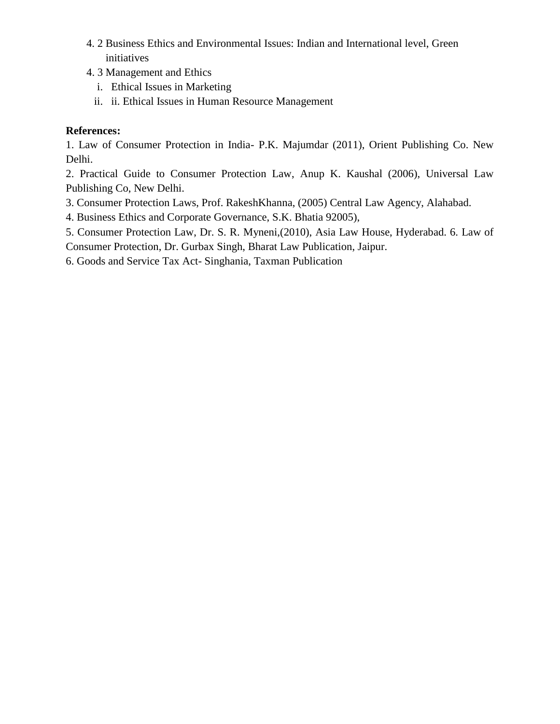- 4. 2 Business Ethics and Environmental Issues: Indian and International level, Green initiatives
- 4. 3 Management and Ethics
	- i. Ethical Issues in Marketing
	- ii. ii. Ethical Issues in Human Resource Management

1. Law of Consumer Protection in India- P.K. Majumdar (2011), Orient Publishing Co. New Delhi.

2. Practical Guide to Consumer Protection Law, Anup K. Kaushal (2006), Universal Law Publishing Co, New Delhi.

- 3. Consumer Protection Laws, Prof. RakeshKhanna, (2005) Central Law Agency, Alahabad.
- 4. Business Ethics and Corporate Governance, S.K. Bhatia 92005),

5. Consumer Protection Law, Dr. S. R. Myneni,(2010), Asia Law House, Hyderabad. 6. Law of Consumer Protection, Dr. Gurbax Singh, Bharat Law Publication, Jaipur.

6. Goods and Service Tax Act- Singhania, Taxman Publication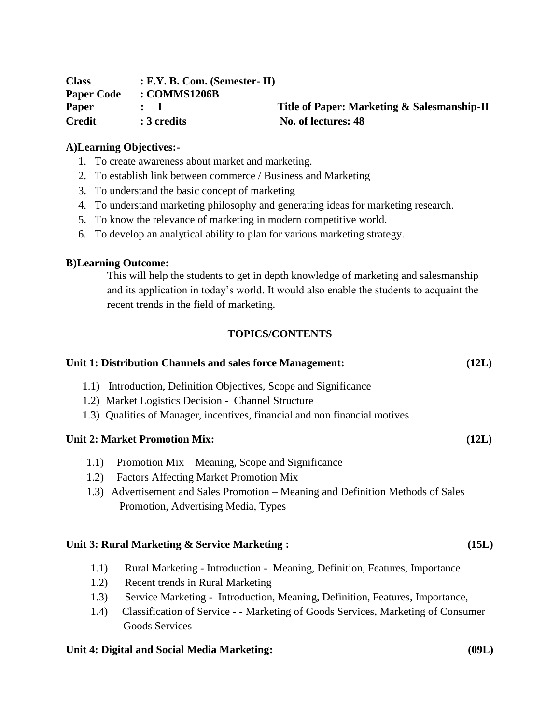| <b>Class</b>      | $: F.Y. B. Com. (Semester-II)$ |                                             |
|-------------------|--------------------------------|---------------------------------------------|
| <b>Paper Code</b> | : COMMS1206B                   |                                             |
| <b>Paper</b>      |                                | Title of Paper: Marketing & Salesmanship-II |
| <b>Credit</b>     | : 3 credits                    | No. of lectures: 48                         |

#### **A)Learning Objectives:-**

- 1. To create awareness about market and marketing.
- 2. To establish link between commerce / Business and Marketing
- 3. To understand the basic concept of marketing
- 4. To understand marketing philosophy and generating ideas for marketing research.
- 5. To know the relevance of marketing in modern competitive world.
- 6. To develop an analytical ability to plan for various marketing strategy.

#### **B)Learning Outcome:**

This will help the students to get in depth knowledge of marketing and salesmanship and its application in today"s world. It would also enable the students to acquaint the recent trends in the field of marketing.

#### **TOPICS/CONTENTS**

| Unit 1: Distribution Channels and sales force Management:<br>(12L)                                                      |  |
|-------------------------------------------------------------------------------------------------------------------------|--|
| 1.1) Introduction, Definition Objectives, Scope and Significance<br>1.2) Market Logistics Decision - Channel Structure  |  |
| 1.3) Qualities of Manager, incentives, financial and non financial motives                                              |  |
| <b>Unit 2: Market Promotion Mix:</b><br>(12L)                                                                           |  |
| Promotion Mix – Meaning, Scope and Significance<br>1.1)<br><b>Factors Affecting Market Promotion Mix</b><br>1.2)        |  |
| 1.3) Advertisement and Sales Promotion – Meaning and Definition Methods of Sales<br>Promotion, Advertising Media, Types |  |
| (15L)<br>Unit 3: Rural Marketing & Service Marketing :                                                                  |  |
| 1.1)<br>Rural Marketing - Introduction - Meaning, Definition, Features, Importance                                      |  |
| 1.2)<br>Recent trends in Rural Marketing                                                                                |  |
| 1.3)<br>Service Marketing - Introduction, Meaning, Definition, Features, Importance,                                    |  |
| Classification of Service - - Marketing of Goods Services, Marketing of Consumer<br>1.4)<br><b>Goods Services</b>       |  |

#### **Unit 4: Digital and Social Media Marketing: (09L)**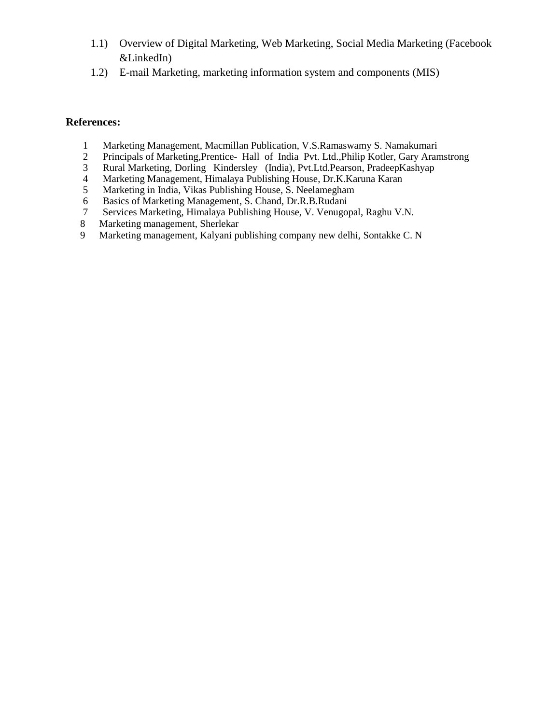- 1.1) Overview of Digital Marketing, Web Marketing, Social Media Marketing (Facebook &LinkedIn)
- 1.2) E-mail Marketing, marketing information system and components (MIS)

- 1 Marketing Management, Macmillan Publication, V.S.Ramaswamy S. Namakumari<br>2 Principals of Marketing, Prentice-Hall of India Pvt. Ltd., Philip Kotler, Gary Aran
- 2 Principals of Marketing, Prentice- Hall of India Pvt. Ltd., Philip Kotler, Gary Aramstrong<br>3 Rural Marketing, Dorling Kindersley (India), Pvt. Ltd. Pearson, PradeepKashyap
- 3 Rural Marketing, Dorling Kindersley (India), Pvt.Ltd.Pearson, PradeepKashyap
- 4 Marketing Management, Himalaya Publishing House, Dr.K.Karuna Karan
- 5 Marketing in India, Vikas Publishing House, S. Neelamegham
- 6 Basics of Marketing Management, S. Chand, Dr.R.B.Rudani
- 7 Services Marketing, Himalaya Publishing House, V. Venugopal, Raghu V.N.
- 8 Marketing management, Sherlekar
- 9 Marketing management, Kalyani publishing company new delhi, Sontakke C. N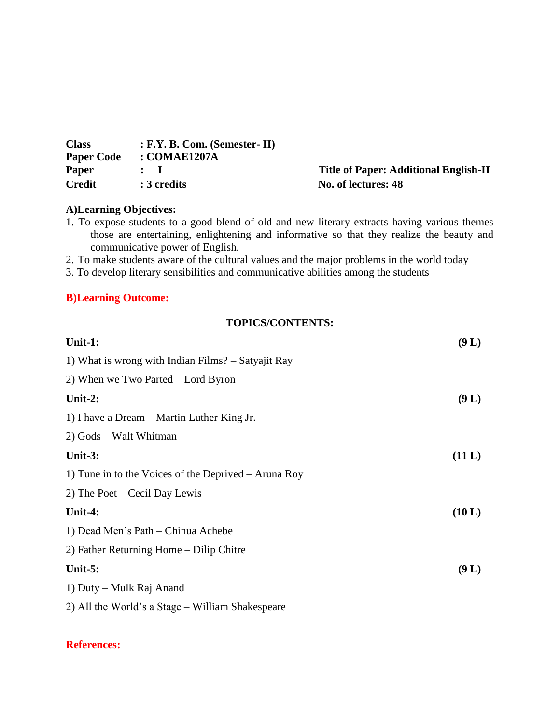| <b>Class</b>      | $: F.Y. B. Com. (Semester-II)$ |
|-------------------|--------------------------------|
| <b>Paper Code</b> | : COMAE1207A                   |
| <b>Paper</b>      | $\mathbf{L}$                   |
| <b>Credit</b>     | : 3 credits                    |

**Title of Paper: Additional English-II No. of lectures: 48** 

#### **A)Learning Objectives:**

1. To expose students to a good blend of old and new literary extracts having various themes those are entertaining, enlightening and informative so that they realize the beauty and communicative power of English.

2. To make students aware of the cultural values and the major problems in the world today

3. To develop literary sensibilities and communicative abilities among the students

#### **B)Learning Outcome:**

#### **TOPICS/CONTENTS:**

| Unit-1:                                                | (9 L)  |
|--------------------------------------------------------|--------|
| 1) What is wrong with Indian Films? – Satyajit Ray     |        |
| 2) When we Two Parted $-$ Lord Byron                   |        |
| Unit-2:                                                | (9 L)  |
| 1) I have a Dream – Martin Luther King Jr.             |        |
| 2) Gods – Walt Whitman                                 |        |
| Unit- $3:$                                             | (11 L) |
| 1) Tune in to the Voices of the Deprived $-$ Aruna Roy |        |
| 2) The Poet – Cecil Day Lewis                          |        |
| Unit-4:                                                | (10 L) |
| 1) Dead Men's Path – Chinua Achebe                     |        |
| 2) Father Returning Home – Dilip Chitre                |        |
| Unit- $5:$                                             | (9 L)  |
| 1) Duty – Mulk Raj Anand                               |        |
| 2) All the World's a Stage – William Shakespeare       |        |
|                                                        |        |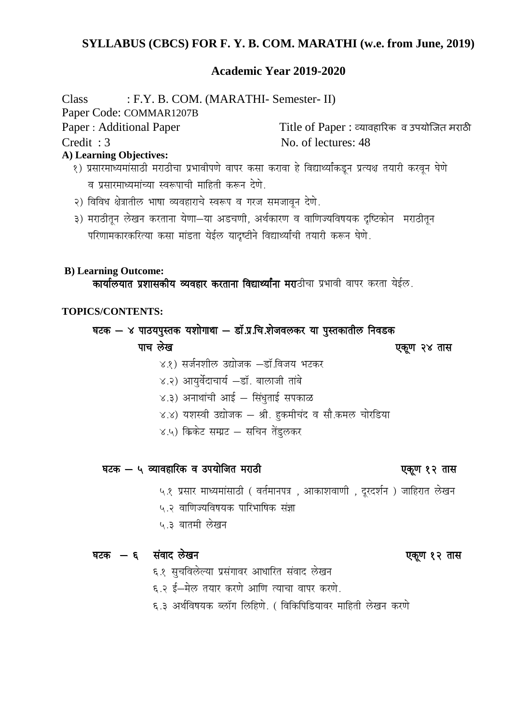#### **SYLLABUS (CBCS) FOR F. Y. B. COM. MARATHI (w.e. from June, 2019)**

#### **Academic Year 2019-2020**

Class : F.Y. B. COM. (MARATHI- Semester- II) Paper Code: COMMAR1207B Paper : Additional Paper Title of Paper : व्यावहारिक व उपयोजित मराठी Credit : 3 No. of lectures: 48 **A) Learning Objectives:** १) प्रसारमाध्यमांसाठी मराठीचा प्रभावीपणे वापर कसा करावा हे विद्यार्थ्यांकडून प्रत्यक्ष तयारी करवून घेणे व प्रसारमाध्यमांच्या स्वरूपाची माहिती करून देणे.

- २) विविध क्षेत्रातील भाषा व्यवहाराचे स्वरूप व गरज समजावन देणे.
- ३) मराठीतून लेखन करताना येणा-या अडचणी, अर्थकारण व वाणिज्यविषयक दृष्टिकोन सराठीतून परिणामकारकरित्या कसा मांडता येईल यादष्टीने विद्यार्थ्यांची तयारी करून घेणे.

#### **B) Learning Outcome:**

कार्यालयात प्रशासकीय व्यवहार करताना विद्यार्थ्यांना मराठीचा प्रभावी वापर करता येईल.

#### **TOPICS/CONTENTS:**

#### घटक  $-$  ४ पाठयपुस्तक यशोगाथा  $-$  डॉ.प्र.चि.शेजवलकर या पुस्तकातील निवडक

<u>पाच लेख</u> करता है। जिसमें पाच करता है कि अपनी पक्षण २४ तास

- ४.१) सर्जनशील उद्योजक –डॉ.विजय भटकर
- ४.२) आयर्वेदाचार्य –डॉ. बालाजी तांबे
- $x, z$ ) अनाथांची आई सिंधुताई सपकाळ
- ४.४) यशस्वी उद्योजक श्री. हकमीचंद व सौ.कमल चोरडिया
- $X, Y$  क्रिकेट सम्प्रट सचिन तेंडुलकर

## घटक — ५ व्यावहारिक व उपयोजित मराठी<br>बाह्य कालिक कालिक कालिक परिवारण करने पुकूण १२ तास

५.१ प्रसार माध्यमांसाठी ( वर्तमानपत्र , आकाशवाणी , दुरदर्शन ) जाहिरात लेखन

- ५.२ वाणिज्यविषयक पारिभाषिक संज्ञा
- ५.३ बातमी लेखन

#### घटक — ६ संवाद लेखन किलोमी अस्ति के बाद करने हैं। अस्ति के पुरस्कार पक्षा पुरस्कार से स्थान के सा

- ६.१ सूचविलेल्या प्रसंगावर आधारित संवाद लेखन
- ६.२ ई-मेल तयार करणे आणि त्याचा वापर करणे.
- ६.३ अर्थविषयक ब्लॉग लिहिणे. ( विकिपिडियावर माहिती लेखन करणे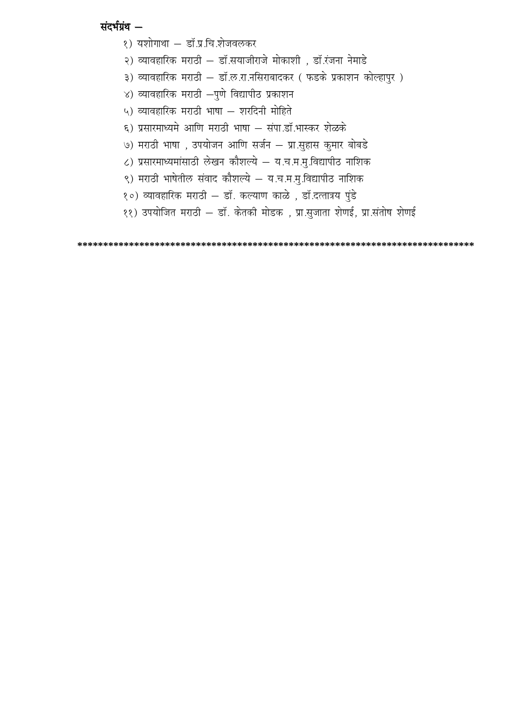#### संदर्भग्रंथ -

- १) यशोगाथा डॉ.प्र.चि.शेजवलकर
- २) व्यावहारिक मराठी डॉ.सयाजीराजे मोकाशी , डॉ.रंजना नेमाडे
- ३) व्यावहारिक मराठी डॉ.ल.रा.नसिराबादकर ( फडके प्रकाशन कोल्हापुर )
- ४) व्यावहारिक मराठी  $-$ पुणे विद्यापीठ प्रकाशन
- ५) व्यावहारिक मराठी भाषा शरदिनी मोहिते
- ६) प्रसारमाध्यमे आणि मराठी भाषा संपा.डॉ.भास्कर शेळके
- ७) मराठी भाषा , उपयोजन आणि सर्जन प्रा.सहास कुमार बोबडे
- ८) प्रसारमाध्यमांसाठी लेखन कौशल्ये य.च.म.मु.विद्यापीठ नाशिक
- ९) मराठी भाषेतील संवाद कौशल्ये य.च.म.मु.विद्यापीठ नाशिक
- १०) व्यावहारिक मराठी डॉ. कल्याण काळे , डॉ.दत्तात्रय पुंडे
- ११) उपयोजित मराठी डॉ. केतकी मोडक , प्रा.सुजाता शेणई, प्रा.संतोष शेणई

**\*\*\*\*\*\*\*\*\*\*\*\*\*\*\*\*\*\*\*\*\*\*\*\*\*\*\*\*\*\*\*\*\*\*\*\*\*\*\*\*\*\*\*\*\*\*\*\*\*\*\*\*\*\*\*\*\*\*\*\*\*\*\*\*\*\*\*\*\*\*\*\*\*\*\*\*\***